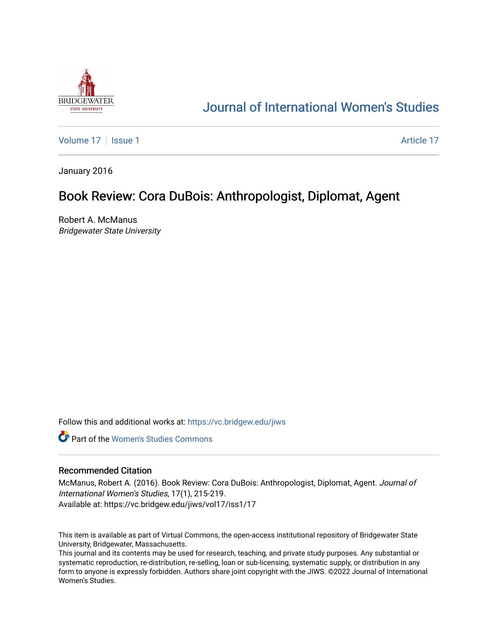

## [Journal of International Women's Studies](https://vc.bridgew.edu/jiws)

[Volume 17](https://vc.bridgew.edu/jiws/vol17) | [Issue 1](https://vc.bridgew.edu/jiws/vol17/iss1) Article 17

January 2016

## Book Review: Cora DuBois: Anthropologist, Diplomat, Agent

Robert A. McManus Bridgewater State University

Follow this and additional works at: [https://vc.bridgew.edu/jiws](https://vc.bridgew.edu/jiws?utm_source=vc.bridgew.edu%2Fjiws%2Fvol17%2Fiss1%2F17&utm_medium=PDF&utm_campaign=PDFCoverPages)

**C** Part of the Women's Studies Commons

## Recommended Citation

McManus, Robert A. (2016). Book Review: Cora DuBois: Anthropologist, Diplomat, Agent. Journal of International Women's Studies, 17(1), 215-219. Available at: https://vc.bridgew.edu/jiws/vol17/iss1/17

This item is available as part of Virtual Commons, the open-access institutional repository of Bridgewater State University, Bridgewater, Massachusetts.

This journal and its contents may be used for research, teaching, and private study purposes. Any substantial or systematic reproduction, re-distribution, re-selling, loan or sub-licensing, systematic supply, or distribution in any form to anyone is expressly forbidden. Authors share joint copyright with the JIWS. ©2022 Journal of International Women's Studies.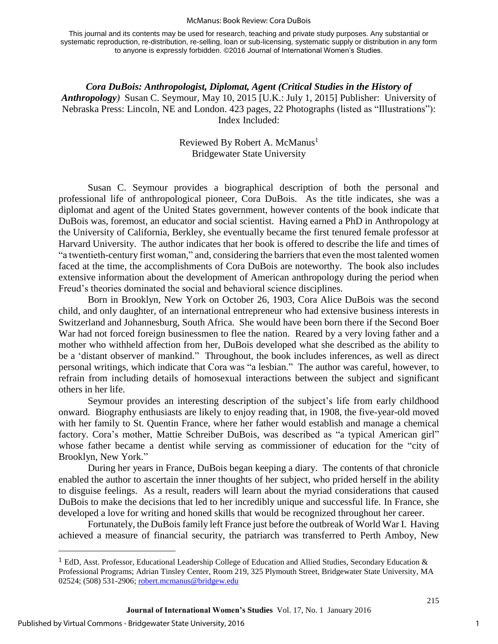## McManus: Book Review: Cora DuBois

This journal and its contents may be used for research, teaching and private study purposes. Any substantial or systematic reproduction, re-distribution, re-selling, loan or sub-licensing, systematic supply or distribution in any form to anyone is expressly forbidden. ©2016 Journal of International Women's Studies.

*Cora DuBois: Anthropologist, Diplomat, Agent (Critical Studies in the History of Anthropology)* Susan C. Seymour, May 10, 2015 [U.K.: July 1, 2015] Publisher: University of Nebraska Press: Lincoln, NE and London. 423 pages, 22 Photographs (listed as "Illustrations"): Index Included:

> Reviewed By Robert A. McManus<sup>1</sup> Bridgewater State University

Susan C. Seymour provides a biographical description of both the personal and professional life of anthropological pioneer, Cora DuBois. As the title indicates, she was a diplomat and agent of the United States government, however contents of the book indicate that DuBois was, foremost, an educator and social scientist. Having earned a PhD in Anthropology at the University of California, Berkley, she eventually became the first tenured female professor at Harvard University. The author indicates that her book is offered to describe the life and times of "a twentieth-century first woman," and, considering the barriers that even the most talented women faced at the time, the accomplishments of Cora DuBois are noteworthy. The book also includes extensive information about the development of American anthropology during the period when Freud's theories dominated the social and behavioral science disciplines.

Born in Brooklyn, New York on October 26, 1903, Cora Alice DuBois was the second child, and only daughter, of an international entrepreneur who had extensive business interests in Switzerland and Johannesburg, South Africa. She would have been born there if the Second Boer War had not forced foreign businessmen to flee the nation. Reared by a very loving father and a mother who withheld affection from her, DuBois developed what she described as the ability to be a 'distant observer of mankind." Throughout, the book includes inferences, as well as direct personal writings, which indicate that Cora was "a lesbian." The author was careful, however, to refrain from including details of homosexual interactions between the subject and significant others in her life.

Seymour provides an interesting description of the subject's life from early childhood onward. Biography enthusiasts are likely to enjoy reading that, in 1908, the five-year-old moved with her family to St. Quentin France, where her father would establish and manage a chemical factory. Cora's mother, Mattie Schreiber DuBois, was described as "a typical American girl" whose father became a dentist while serving as commissioner of education for the "city of Brooklyn, New York."

During her years in France, DuBois began keeping a diary. The contents of that chronicle enabled the author to ascertain the inner thoughts of her subject, who prided herself in the ability to disguise feelings. As a result, readers will learn about the myriad considerations that caused DuBois to make the decisions that led to her incredibly unique and successful life. In France, she developed a love for writing and honed skills that would be recognized throughout her career.

Fortunately, the DuBois family left France just before the outbreak of World War I. Having achieved a measure of financial security, the patriarch was transferred to Perth Amboy, New

 $\overline{\phantom{a}}$ 

<sup>&</sup>lt;sup>1</sup> EdD, Asst. Professor, Educational Leadership College of Education and Allied Studies, Secondary Education  $\&$ Professional Programs; Adrian Tinsley Center, Room 219, 325 Plymouth Street, Bridgewater State University, MA 02524; (508) 531-2906; [robert.mcmanus@bridgew.edu](mailto:robert.mcmanus@bridgew.edu)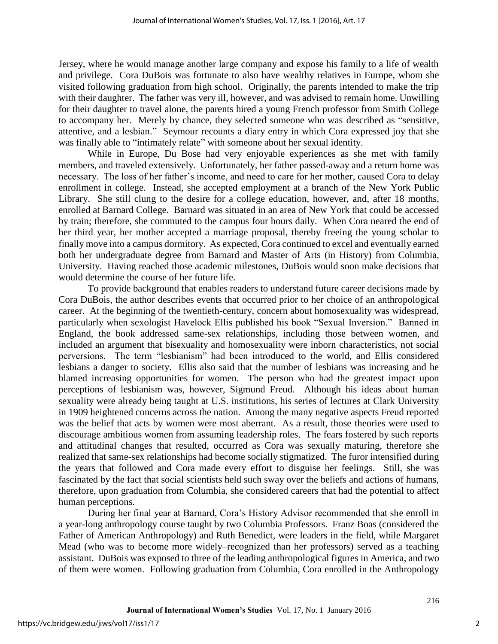Jersey, where he would manage another large company and expose his family to a life of wealth and privilege. Cora DuBois was fortunate to also have wealthy relatives in Europe, whom she visited following graduation from high school. Originally, the parents intended to make the trip with their daughter. The father was very ill, however, and was advised to remain home. Unwilling for their daughter to travel alone, the parents hired a young French professor from Smith College to accompany her. Merely by chance, they selected someone who was described as "sensitive, attentive, and a lesbian." Seymour recounts a diary entry in which Cora expressed joy that she was finally able to "intimately relate" with someone about her sexual identity.

While in Europe, Du Bose had very enjoyable experiences as she met with family members, and traveled extensively. Unfortunately, her father passed-away and a return home was necessary. The loss of her father's income, and need to care for her mother, caused Cora to delay enrollment in college. Instead, she accepted employment at a branch of the New York Public Library. She still clung to the desire for a college education, however, and, after 18 months, enrolled at Barnard College. Barnard was situated in an area of New York that could be accessed by train; therefore, she commuted to the campus four hours daily. When Cora neared the end of her third year, her mother accepted a marriage proposal, thereby freeing the young scholar to finally move into a campus dormitory. As expected, Cora continued to excel and eventually earned both her undergraduate degree from Barnard and Master of Arts (in History) from Columbia, University. Having reached those academic milestones, DuBois would soon make decisions that would determine the course of her future life.

To provide background that enables readers to understand future career decisions made by Cora DuBois, the author describes events that occurred prior to her choice of an anthropological career. At the beginning of the twentieth-century, concern about homosexuality was widespread, particularly when sexologist Havelock Ellis published his book "Sexual Inversion." Banned in England, the book addressed same-sex relationships, including those between women, and included an argument that bisexuality and homosexuality were inborn characteristics, not social perversions. The term "lesbianism" had been introduced to the world, and Ellis considered lesbians a danger to society. Ellis also said that the number of lesbians was increasing and he blamed increasing opportunities for women. The person who had the greatest impact upon perceptions of lesbianism was, however, Sigmund Freud. Although his ideas about human sexuality were already being taught at U.S. institutions, his series of lectures at Clark University in 1909 heightened concerns across the nation. Among the many negative aspects Freud reported was the belief that acts by women were most aberrant. As a result, those theories were used to discourage ambitious women from assuming leadership roles. The fears fostered by such reports and attitudinal changes that resulted, occurred as Cora was sexually maturing, therefore she realized that same-sex relationships had become socially stigmatized. The furor intensified during the years that followed and Cora made every effort to disguise her feelings. Still, she was fascinated by the fact that social scientists held such sway over the beliefs and actions of humans, therefore, upon graduation from Columbia, she considered careers that had the potential to affect human perceptions.

During her final year at Barnard, Cora's History Advisor recommended that she enroll in a year-long anthropology course taught by two Columbia Professors. Franz Boas (considered the Father of American Anthropology) and Ruth Benedict, were leaders in the field, while Margaret Mead (who was to become more widely–recognized than her professors) served as a teaching assistant. DuBois was exposed to three of the leading anthropological figures in America, and two of them were women. Following graduation from Columbia, Cora enrolled in the Anthropology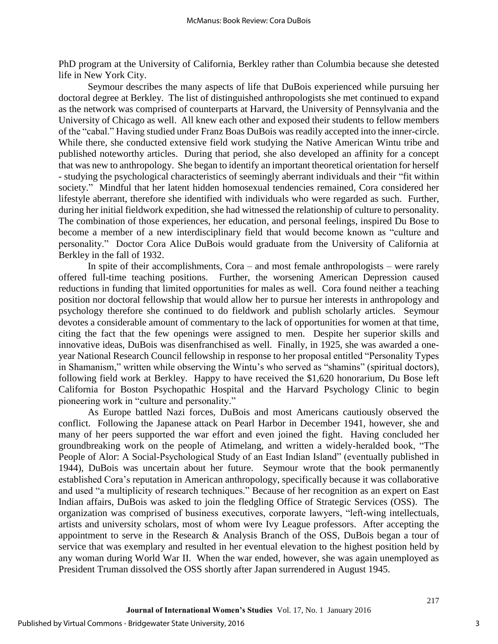PhD program at the University of California, Berkley rather than Columbia because she detested life in New York City.

Seymour describes the many aspects of life that DuBois experienced while pursuing her doctoral degree at Berkley. The list of distinguished anthropologists she met continued to expand as the network was comprised of counterparts at Harvard, the University of Pennsylvania and the University of Chicago as well. All knew each other and exposed their students to fellow members of the "cabal." Having studied under Franz Boas DuBois was readily accepted into the inner-circle. While there, she conducted extensive field work studying the Native American Wintu tribe and published noteworthy articles. During that period, she also developed an affinity for a concept that was new to anthropology. She began to identify an important theoretical orientation for herself - studying the psychological characteristics of seemingly aberrant individuals and their "fit within society." Mindful that her latent hidden homosexual tendencies remained, Cora considered her lifestyle aberrant, therefore she identified with individuals who were regarded as such. Further, during her initial fieldwork expedition, she had witnessed the relationship of culture to personality. The combination of those experiences, her education, and personal feelings, inspired Du Bose to become a member of a new interdisciplinary field that would become known as "culture and personality." Doctor Cora Alice DuBois would graduate from the University of California at Berkley in the fall of 1932.

In spite of their accomplishments, Cora – and most female anthropologists – were rarely offered full-time teaching positions. Further, the worsening American Depression caused reductions in funding that limited opportunities for males as well. Cora found neither a teaching position nor doctoral fellowship that would allow her to pursue her interests in anthropology and psychology therefore she continued to do fieldwork and publish scholarly articles. Seymour devotes a considerable amount of commentary to the lack of opportunities for women at that time, citing the fact that the few openings were assigned to men. Despite her superior skills and innovative ideas, DuBois was disenfranchised as well. Finally, in 1925, she was awarded a oneyear National Research Council fellowship in response to her proposal entitled "Personality Types in Shamanism," written while observing the Wintu's who served as "shamins" (spiritual doctors), following field work at Berkley. Happy to have received the \$1,620 honorarium, Du Bose left California for Boston Psychopathic Hospital and the Harvard Psychology Clinic to begin pioneering work in "culture and personality."

As Europe battled Nazi forces, DuBois and most Americans cautiously observed the conflict. Following the Japanese attack on Pearl Harbor in December 1941, however, she and many of her peers supported the war effort and even joined the fight. Having concluded her groundbreaking work on the people of Atimelang, and written a widely-heralded book, "The People of Alor: A Social-Psychological Study of an East Indian Island" (eventually published in 1944), DuBois was uncertain about her future. Seymour wrote that the book permanently established Cora's reputation in American anthropology, specifically because it was collaborative and used "a multiplicity of research techniques." Because of her recognition as an expert on East Indian affairs, DuBois was asked to join the fledgling Office of Strategic Services (OSS). The organization was comprised of business executives, corporate lawyers, "left-wing intellectuals, artists and university scholars, most of whom were Ivy League professors. After accepting the appointment to serve in the Research & Analysis Branch of the OSS, DuBois began a tour of service that was exemplary and resulted in her eventual elevation to the highest position held by any woman during World War II. When the war ended, however, she was again unemployed as President Truman dissolved the OSS shortly after Japan surrendered in August 1945.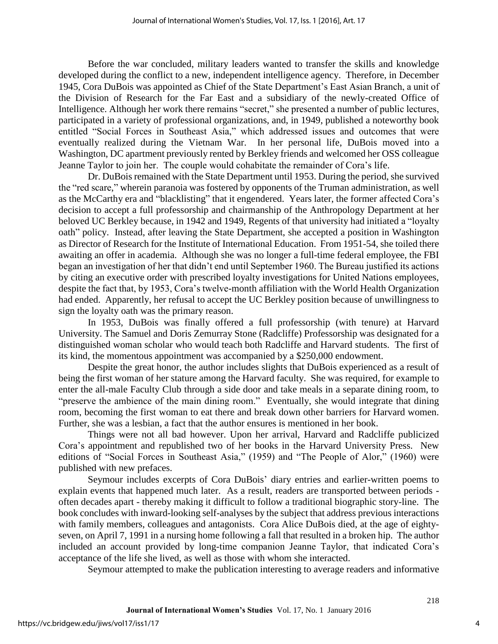Before the war concluded, military leaders wanted to transfer the skills and knowledge developed during the conflict to a new, independent intelligence agency. Therefore, in December 1945, Cora DuBois was appointed as Chief of the State Department's East Asian Branch, a unit of the Division of Research for the Far East and a subsidiary of the newly-created Office of Intelligence. Although her work there remains "secret," she presented a number of public lectures, participated in a variety of professional organizations, and, in 1949, published a noteworthy book entitled "Social Forces in Southeast Asia," which addressed issues and outcomes that were eventually realized during the Vietnam War. In her personal life, DuBois moved into a Washington, DC apartment previously rented by Berkley friends and welcomed her OSS colleague Jeanne Taylor to join her. The couple would cohabitate the remainder of Cora's life.

Dr. DuBois remained with the State Department until 1953. During the period, she survived the "red scare," wherein paranoia was fostered by opponents of the Truman administration, as well as the McCarthy era and "blacklisting" that it engendered. Years later, the former affected Cora's decision to accept a full professorship and chairmanship of the Anthropology Department at her beloved UC Berkley because, in 1942 and 1949, Regents of that university had initiated a "loyalty oath" policy. Instead, after leaving the State Department, she accepted a position in Washington as Director of Research for the Institute of International Education. From 1951-54, she toiled there awaiting an offer in academia. Although she was no longer a full-time federal employee, the FBI began an investigation of her that didn't end until September 1960. The Bureau justified its actions by citing an executive order with prescribed loyalty investigations for United Nations employees, despite the fact that, by 1953, Cora's twelve-month affiliation with the World Health Organization had ended. Apparently, her refusal to accept the UC Berkley position because of unwillingness to sign the loyalty oath was the primary reason.

In 1953, DuBois was finally offered a full professorship (with tenure) at Harvard University. The Samuel and Doris Zemurray Stone (Radcliffe) Professorship was designated for a distinguished woman scholar who would teach both Radcliffe and Harvard students. The first of its kind, the momentous appointment was accompanied by a \$250,000 endowment.

Despite the great honor, the author includes slights that DuBois experienced as a result of being the first woman of her stature among the Harvard faculty. She was required, for example to enter the all-male Faculty Club through a side door and take meals in a separate dining room, to "preserve the ambience of the main dining room." Eventually, she would integrate that dining room, becoming the first woman to eat there and break down other barriers for Harvard women. Further, she was a lesbian, a fact that the author ensures is mentioned in her book.

Things were not all bad however. Upon her arrival, Harvard and Radcliffe publicized Cora's appointment and republished two of her books in the Harvard University Press. New editions of "Social Forces in Southeast Asia," (1959) and "The People of Alor," (1960) were published with new prefaces.

Seymour includes excerpts of Cora DuBois' diary entries and earlier-written poems to explain events that happened much later. As a result, readers are transported between periods often decades apart - thereby making it difficult to follow a traditional biographic story-line. The book concludes with inward-looking self-analyses by the subject that address previous interactions with family members, colleagues and antagonists. Cora Alice DuBois died, at the age of eightyseven, on April 7, 1991 in a nursing home following a fall that resulted in a broken hip. The author included an account provided by long-time companion Jeanne Taylor, that indicated Cora's acceptance of the life she lived, as well as those with whom she interacted.

Seymour attempted to make the publication interesting to average readers and informative

4